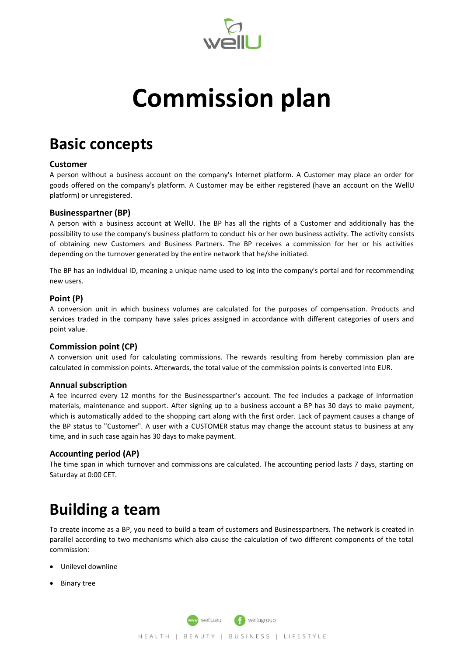

# **Commission plan**

# **Basic concepts**

### **Customer**

A person without a business account on the company's Internet platform. A Customer may place an order for goods offered on the company's platform. A Customer may be either registered (have an account on the WellU platform) or unregistered.

### **Businesspartner (BP)**

A person with a business account at WellU. The BP has all the rights of a Customer and additionally has the possibility to use the company's business platform to conduct his or her own business activity. The activity consists of obtaining new Customers and Business Partners. The BP receives a commission for her or his activities depending on the turnover generated by the entire network that he/she initiated.

The BP has an individual ID, meaning a unique name used to log into the company's portal and for recommending new users.

### **Point (P)**

A conversion unit in which business volumes are calculated for the purposes of compensation. Products and services traded in the company have sales prices assigned in accordance with different categories of users and point value.

### **Commission point (CP)**

A conversion unit used for calculating commissions. The rewards resulting from hereby commission plan are calculated in commission points. Afterwards, the total value of the commission points is converted into EUR.

### **Annual subscription**

A fee incurred every 12 months for the Businesspartner's account. The fee includes a package of information materials, maintenance and support. After signing up to a business account a BP has 30 days to make payment, which is automatically added to the shopping cart along with the first order. Lack of payment causes a change of the BP status to "Customer". A user with a CUSTOMER status may change the account status to business at any time, and in such case again has 30 days to make payment.

### **Accounting period (AP)**

The time span in which turnover and commissions are calculated. The accounting period lasts 7 days, starting on Saturday at 0:00 CET.

# **Building a team**

To create income as a BP, you need to build a team of customers and Businesspartners. The network is created in parallel according to two mechanisms which also cause the calculation of two different components of the total commission:

- Unilevel downline
- Binary tree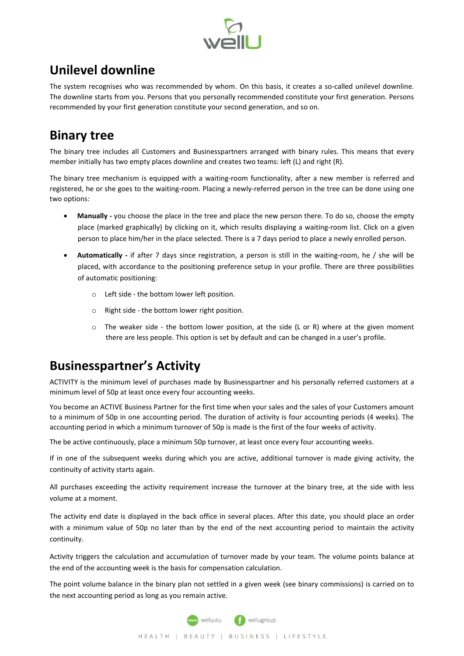

### **Unilevel downline**

The system recognises who was recommended by whom. On this basis, it creates a so-called unilevel downline. The downline starts from you. Persons that you personally recommended constitute your first generation. Persons recommended by your first generation constitute your second generation, and so on.

### **Binary tree**

The binary tree includes all Customers and Businesspartners arranged with binary rules. This means that every member initially has two empty places downline and creates two teams: left (L) and right (R).

The binary tree mechanism is equipped with a waiting-room functionality, after a new member is referred and registered, he or she goes to the waiting-room. Placing a newly-referred person in the tree can be done using one two options:

- **Manually -** you choose the place in the tree and place the new person there. To do so, choose the empty place (marked graphically) by clicking on it, which results displaying a waiting-room list. Click on a given person to place him/her in the place selected. There is a 7 days period to place a newly enrolled person.
- **Automatically -** if after 7 days since registration, a person is still in the waiting-room, he / she will be placed, with accordance to the positioning preference setup in your profile. There are three possibilities of automatic positioning:
	- o Left side the bottom lower left position.
	- o Right side the bottom lower right position.
	- $\circ$  The weaker side the bottom lower position, at the side (L or R) where at the given moment there are less people. This option is set by default and can be changed in a user's profile.

### **Businesspartner's Activity**

ACTIVITY is the minimum level of purchases made by Businesspartner and his personally referred customers at a minimum level of 50p at least once every four accounting weeks.

You become an ACTIVE Business Partner for the first time when your sales and the sales of your Customers amount to a minimum of 50p in one accounting period. The duration of activity is four accounting periods (4 weeks). The accounting period in which a minimum turnover of 50p is made is the first of the four weeks of activity.

The be active continuously, place a minimum 50p turnover, at least once every four accounting weeks.

If in one of the subsequent weeks during which you are active, additional turnover is made giving activity, the continuity of activity starts again.

All purchases exceeding the activity requirement increase the turnover at the binary tree, at the side with less volume at a moment.

The activity end date is displayed in the back office in several places. After this date, you should place an order with a minimum value of 50p no later than by the end of the next accounting period to maintain the activity continuity.

Activity triggers the calculation and accumulation of turnover made by your team. The volume points balance at the end of the accounting week is the basis for compensation calculation.

The point volume balance in the binary plan not settled in a given week (see binary commissions) is carried on to the next accounting period as long as you remain active.

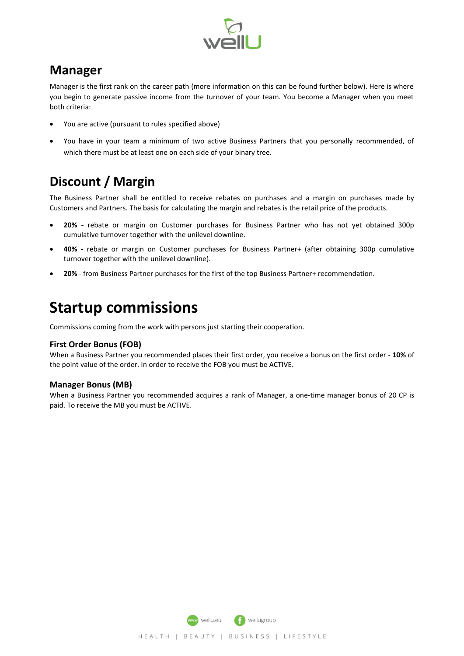

### **Manager**

Manager is the first rank on the career path (more information on this can be found further below). Here is where you begin to generate passive income from the turnover of your team. You become a Manager when you meet both criteria:

- You are active (pursuant to rules specified above)
- You have in your team a minimum of two active Business Partners that you personally recommended, of which there must be at least one on each side of your binary tree.

## **Discount / Margin**

The Business Partner shall be entitled to receive rebates on purchases and a margin on purchases made by Customers and Partners. The basis for calculating the margin and rebates is the retail price of the products.

- **20% -** rebate or margin on Customer purchases for Business Partner who has not yet obtained 300p cumulative turnover together with the unilevel downline.
- **40% -** rebate or margin on Customer purchases for Business Partner+ (after obtaining 300p cumulative turnover together with the unilevel downline).
- **20%**  from Business Partner purchases for the first of the top Business Partner+ recommendation.

# **Startup commissions**

Commissions coming from the work with persons just starting their cooperation.

### **First Order Bonus (FOB)**

When a Business Partner you recommended places their first order, you receive a bonus on the first order - **10%** of the point value of the order. In order to receive the FOB you must be ACTIVE.

### **Manager Bonus (MB)**

When a Business Partner you recommended acquires a rank of Manager, a one-time manager bonus of 20 CP is paid. To receive the MB you must be ACTIVE.

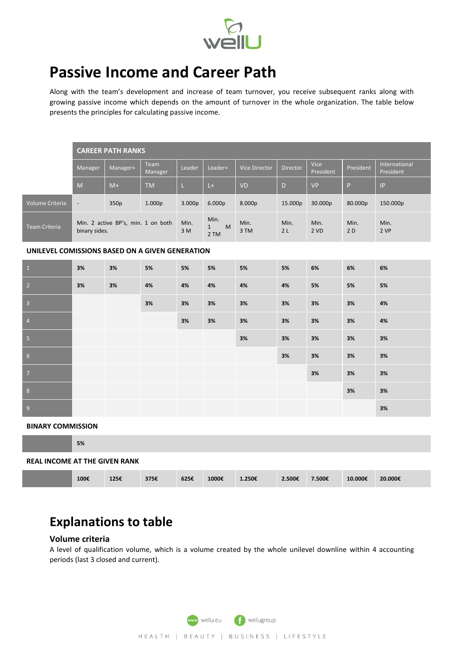

# **Passive Income and Career Path**

Along with the team's development and increase of team turnover, you receive subsequent ranks along with growing passive income which depends on the amount of turnover in the whole organization. The table below presents the principles for calculating passive income.

|                                                 | <b>CAREER PATH RANKS</b>                            |          |                 |             |                                   |                      |                 |                   |            |                                   |  |  |
|-------------------------------------------------|-----------------------------------------------------|----------|-----------------|-------------|-----------------------------------|----------------------|-----------------|-------------------|------------|-----------------------------------|--|--|
|                                                 | Manager                                             | Manager+ | Team<br>Manager | Leader      | Leader+                           | <b>Vice Director</b> | <b>Director</b> | Vice<br>President | President  | International<br>President        |  |  |
|                                                 | M                                                   | $M+$     | <b>TM</b>       | L.          | $L +$                             | <b>VD</b>            | D.              | <b>VP</b>         | P.         | $\ensuremath{\mathsf{IP}}\xspace$ |  |  |
| Volume Criteria                                 | $\overline{\phantom{a}}$                            | 350p     | 1.000p          | 3.000p      | 6.000p                            | 8.000p               | 15.000p         | 30.000p           | 80.000p    | 150.000p                          |  |  |
| <b>Team Criteria</b>                            | Min. 2 active BP's, min. 1 on both<br>binary sides. |          |                 | Min.<br>3 M | Min.<br>M<br>$\mathbf{1}$<br>2 TM | Min.<br>3 TM         | Min.<br>2L      | Min.<br>2 VD      | Min.<br>2D | Min.<br>2 VP                      |  |  |
| UNILEVEL COMISSIONS BASED ON A GIVEN GENERATION |                                                     |          |                 |             |                                   |                      |                 |                   |            |                                   |  |  |
| $\overline{1}$                                  | 3%                                                  | 3%       | 5%              | 5%          | 5%                                | 5%                   | 5%              | 6%                | 6%         | 6%                                |  |  |
| $\overline{2}$                                  | 3%                                                  | 3%       | 4%              | 4%          | 4%                                | 4%                   | 4%              | 5%                | 5%         | 5%                                |  |  |
| $\overline{\mathbf{3}}$                         |                                                     |          | 3%              | 3%          | 3%                                | 3%                   | 3%              | 3%                | 3%         | 4%                                |  |  |
| $\overline{4}$                                  |                                                     |          |                 | 3%          | 3%                                | 3%                   | 3%              | 3%                | 3%         | 4%                                |  |  |
| $-5$                                            |                                                     |          |                 |             |                                   | 3%                   | 3%              | 3%                | 3%         | 3%                                |  |  |
| 6                                               |                                                     |          |                 |             |                                   |                      | 3%              | 3%                | 3%         | 3%                                |  |  |
| $\overline{7}$                                  |                                                     |          |                 |             |                                   |                      |                 | 3%                | 3%         | 3%                                |  |  |
| 8                                               |                                                     |          |                 |             |                                   |                      |                 |                   | 3%         | 3%                                |  |  |
| 9                                               |                                                     |          |                 |             |                                   |                      |                 |                   |            | 3%                                |  |  |
| <b>BINARY COMMISSION</b>                        |                                                     |          |                 |             |                                   |                      |                 |                   |            |                                   |  |  |

**BINARY COMMISSION**

**5%**

#### **REAL INCOME AT THE GIVEN RANK**

|  | 100€ | 12E<br>143E | 375€ | 625€ | 1000€ | 1.250€ | 2.500€ | 7.500€ | 10.000€ | 20.000€ |
|--|------|-------------|------|------|-------|--------|--------|--------|---------|---------|
|--|------|-------------|------|------|-------|--------|--------|--------|---------|---------|

### **Explanations to table**

#### **Volume criteria**

A level of qualification volume, which is a volume created by the whole unilevel downline within 4 accounting periods (last 3 closed and current).